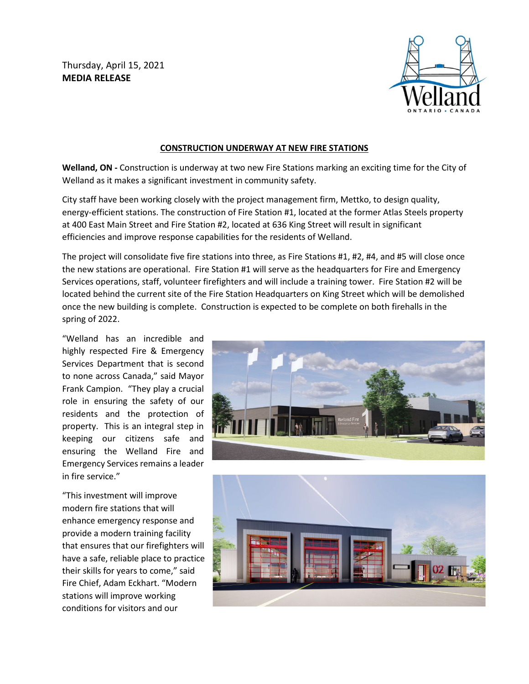Thursday, April 15, 2021 **MEDIA RELEASE**



## **CONSTRUCTION UNDERWAY AT NEW FIRE STATIONS**

**Welland, ON -** Construction is underway at two new Fire Stations marking an exciting time for the City of Welland as it makes a significant investment in community safety.

City staff have been working closely with the project management firm, Mettko, to design quality, energy-efficient stations. The construction of Fire Station #1, located at the former Atlas Steels property at 400 East Main Street and Fire Station #2, located at 636 King Street will result in significant efficiencies and improve response capabilities for the residents of Welland.

The project will consolidate five fire stations into three, as Fire Stations #1, #2, #4, and #5 will close once the new stations are operational. Fire Station #1 will serve as the headquarters for Fire and Emergency Services operations, staff, volunteer firefighters and will include a training tower. Fire Station #2 will be located behind the current site of the Fire Station Headquarters on King Street which will be demolished once the new building is complete. Construction is expected to be complete on both firehalls in the spring of 2022.

"Welland has an incredible and highly respected Fire & Emergency Services Department that is second to none across Canada," said Mayor Frank Campion. "They play a crucial role in ensuring the safety of our residents and the protection of property. This is an integral step in keeping our citizens safe and ensuring the Welland Fire and Emergency Services remains a leader in fire service."

"This investment will improve modern fire stations that will enhance emergency response and provide a modern training facility that ensures that our firefighters will have a safe, reliable place to practice their skills for years to come," said Fire Chief, Adam Eckhart. "Modern stations will improve working conditions for visitors and our